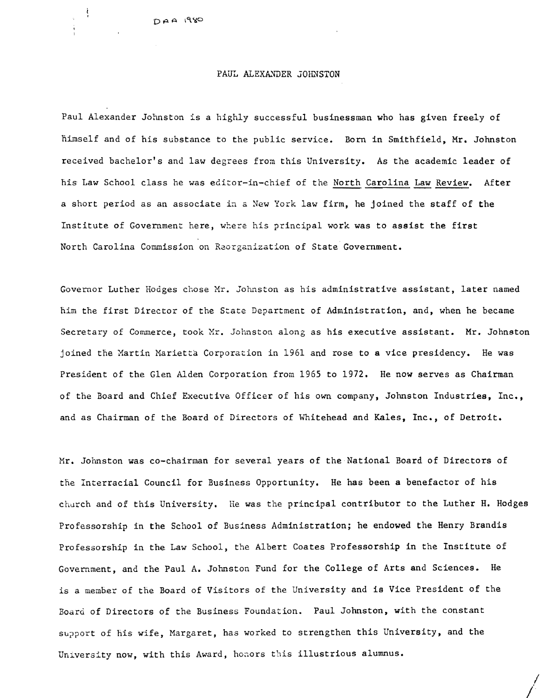## PAUL ALEXANDER JOHNSTON

Paul Alexander Johnston is a highly successful businessman who has given freely of nimself and of his substance to the public service. Born in Smithfield, Mr. Johnston received bachelor's and law degrees from this University. As the academic leader of his Law School class he was editor-in-chief of the North Carolina Law Review. After a short period as an associate in a New York law firm, he joined the staff of the Institute of Government here, where his principal work was to assist the first North Carolina Commission on Reorganization of State Government.

Governor Luther Hodges chose Mr. Johnston as his administrative assistant, later named him the first Director of the State Department of Administration, and, when he became Secretary of Commerce, took Mr. Johnston along as his executive assistant. Mr. Johnston joined the Martin Marietta Corporation in 1961 and rose to a vice presidency. He was President of the Glen Alden Corporation from 1965 to 1972. He now serves as Chairman of tne Board and Chief Executive Officer of his own company, Johnston Industries, Inc., and as Chairman of the Board of Directors of Whitehead and Kales, Inc., of Detroit.

Mr. Johnston was co-chairman for several years of the National Board of Directors of the Interracial Council for Business Opportunity. He has been a benefactor of his church and of this University. He was the principal contributor to the Luther H. Hodges Professorship in the School of Business Administration; he endowed the Henry Brandis Professorship in the Law School, the Albert Coates Professorship in the Institute of Government, and the Paul A. Johnston Fund for the College of Arts and Sciences. He is a member of the Board of Visitors of the University and is Vice President of the Boara of Directors of the Business Foundation. Paul Johnston, with the constant support of his wife, Margaret, has worked to strengthen this University, and the University now, with this Award, honors this illustrious alumnus.

/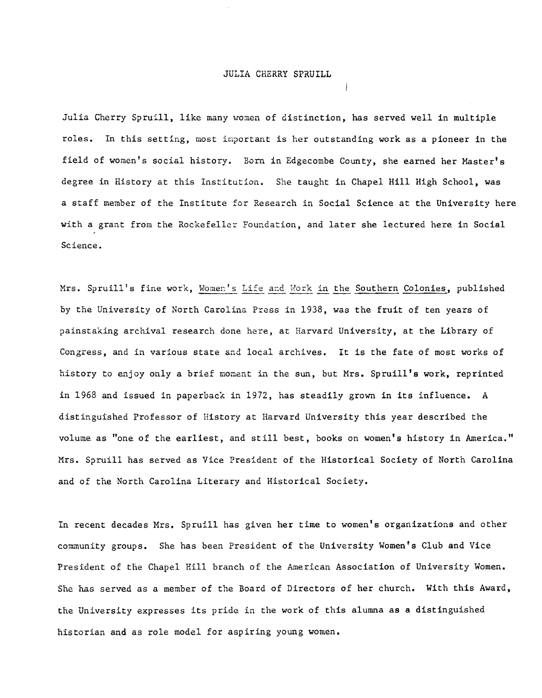# JULIA CHERRY SPRUILL

Julia Cherry Spruill, like many women of distinction, has served well in multiple roles. In this setting, most important is her outstanding work as a pioneer in the field of women's social history. Born in Edgecombe County, she earned her Master's degree in History at this Institution. She taught in Chapel Hill High School, was a staff member of the Institute for Research in Social Science at the University here with a grant from the Rockefeller Foundation, and later she lectured here in Social Science.

Mrs. Spruill's fine work, Women's Life and Work in the Southern Colonies, published by the University of North Carolina Press in 1938, was the fruit of ten years of painstaking archival research done here, at Harvard University, at the Library of Congress, and in various state and local archives. It is the fate of most works of history to enjoy only a brief moment in the sun, but Mrs. Spruill's work, reprinted in 1968 and issued in paperback in 1972, has steadily grown in its influence. A distinguished Professor of History at Harvard University this year described the volume as "one of the earliest, and still best, books on women's history in America." Mrs. Spruill has served as Vice President of the Historical Society of North Carolina and of the North Carolina Literary and Historical Society.

In recent decades Mrs. Spruill has given her time to women's organizations and other community groups. She has been President of the University Women's Club and Vice President of the Chapel Hill branch of the American Association of University Women. She has served as a member of the Board of Directors of her church. With this Award, the University expresses its pride in the work of this alumna as a distinguished historian and as role model for aspiring young women.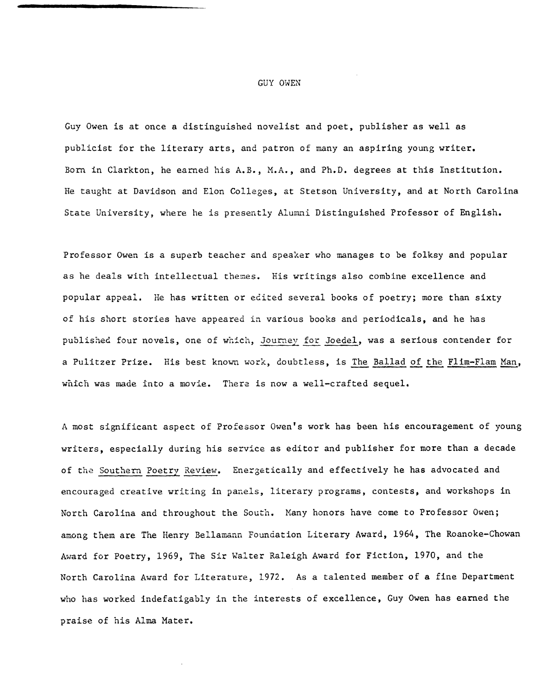#### GUY OWEN

Guy Owen is at once a distinguished novelist and poet, publisher as well as publicist for the literary arts, and patron of many an aspiring young writer. Born in Clarkton, he earned his A.B., M.A., and Ph.D. degrees at this Institution. He taught at Davidson and Elon Colleges, at Stetson University, and at North Carolina State University, where he is presently Alumni Distinguished Professor of English.

Professor Owen is a superb teacher and speaker who manages to be folksy and popular as he deals with intellectual themes. His writings also combine excellence and popular appeal. He has written or ecited several books of poetry; more than sixty of his short stories have appeared in various books and periodicals, and he has published four novels, one of which, Journey for Joedel, was a serious contender for a Pulitzer Prize. His best known work, doubtless, is The Ballad of the Flim-Flam Man, which was made into a movie. There is now a well-crafted sequel.

A most significant aspect of Professor Owen's work has been his encouragement of young writers, especially during his service as editor and publisher for more than a decade of the Southern Poetry Review. Energetically and effectively he has advocated and encouraged creative writing in panels, literary programs, contests, and workshops in North Carolina and throughout the South. Many honors have come to Professor Owen; among them are The Henry Bellamann Foundation Literary Award, 1964, The Roanoke-Chowan Award for Poetry, 1969, The Sir Walter Raleigh Award for Fiction, 1970, and the North Carolina Award for Literature, 1972. As a talented member of a fine Department who has worked indefatigably in the interests of excellence, Guy Owen has earned the praise of his Alma Mater.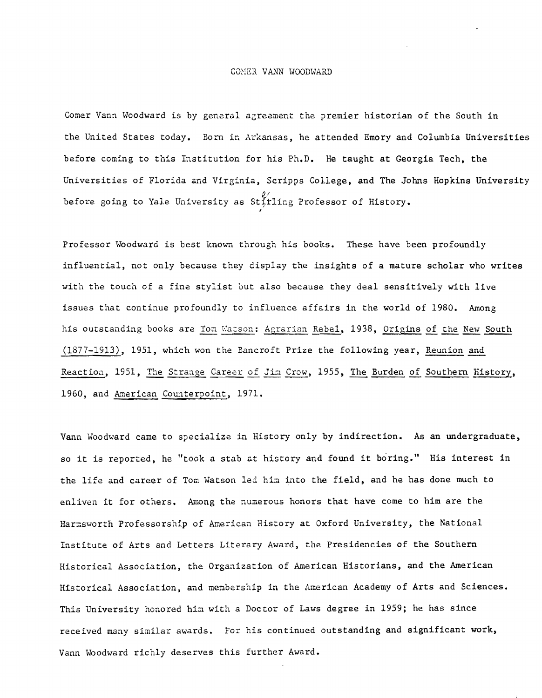### COMER VANN WOODWARD

Comer Vann Woodward is by general agreement the premier historian of the South in the United States today. Born in Arkansas, he attended Emory and Columbia Universities before coming to this Institution for his Ph.D. He taught at Georgia Tech, the Universities of Florida and Virginia, Scripps College, and The Johns Hopkins University *0/* before going to Yale University as St;tling Professor of History.

Professor Woodward is best known through his books. These have been profoundly influential, not only because they display the insights of a mature scholar who writes with the touch of a fine stylist but also because they deal sensitively with live issues that continue profoundly to influence affairs in the world of 1980. Among his outstanding books are Tom Watson: Agrarian Rebel, 1938, Origins of the New South (1877-1913), 1951, which won the Bancroft Prize the following year, Reunion and Reaction, 1951, The Strange Career of Jim Crow, 1955, The Burden of Southern History, 1960, and American Counterpoint, 1971.

Vann Woodward came to specialize in History only by indirection. As an undergraduate, so it is reported, he "took a stab at history and found it boring." His interest in the life and career of Tom Watson led him into the field, and he has done much to enliven it for others. Among the numerous honors that have come to him are the Harmsworth Professorship of American History at Oxford University, the National Institute of Arts and Letters Literary Award, the Presidencies of the Southern Historical Association, the Organization of American Historians, and the American Historical Association, and membership in the American Academy of Arts and Sciences. This University honored him with a Doctor of Laws degree in 1959; he has since received many similar awards. For his continued outstanding and significant work, Vann Woodward richly deserves this further Award.